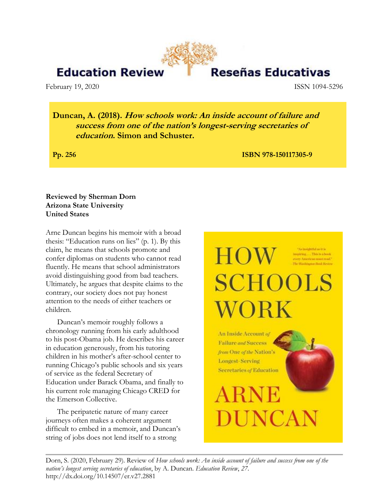## **Education Reviev**

February 19, 2020 ISSN 1094-5296

Reseñas Educativas

**Duncan, A. (2018). How schools work: An inside account of failure and success from one of the nation's longest-serving secretaries of education. Simon and Schuster.** 

**Pp. 256 ISBN 978-150117305-9** 

## **Reviewed by Sherman Dorn Arizona State University United States**

Arne Duncan begins his memoir with a broad thesis: "Education runs on lies" (p. 1). By this claim, he means that schools promote and confer diplomas on students who cannot read fluently. He means that school administrators avoid distinguishing good from bad teachers. Ultimately, he argues that despite claims to the contrary, our society does not pay honest attention to the needs of either teachers or children.

Duncan's memoir roughly follows a chronology running from his early adulthood to his post-Obama job. He describes his career in education generously, from his tutoring children in his mother's after-school center to running Chicago's public schools and six years of service as the federal Secretary of Education under Barack Obama, and finally to his current role managing Chicago CRED for the Emerson Collective.

The peripatetic nature of many career journeys often makes a coherent argument difficult to embed in a memoir, and Duncan's string of jobs does not lend itself to a strong



Dorn, S. (2020, February 29). Review of *How schools work: An inside account of failure and success from one of the nation's longest serving secretaries of education*, by A. Duncan. *Education Review*, *27*. http://dx.doi.org/10.14507/er.v27.2881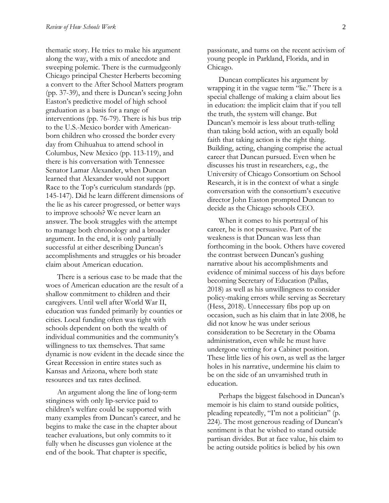thematic story. He tries to make his argument along the way, with a mix of anecdote and sweeping polemic. There is the curmudgeonly Chicago principal Chester Herberts becoming a convert to the After School Matters program (pp. 37-39), and there is Duncan's seeing John Easton's predictive model of high school graduation as a basis for a range of interventions (pp. 76-79). There is his bus trip to the U.S.-Mexico border with Americanborn children who crossed the border every day from Chihuahua to attend school in Columbus, New Mexico (pp. 113-119), and there is his conversation with Tennessee Senator Lamar Alexander, when Duncan learned that Alexander would not support Race to the Top's curriculum standards (pp. 145-147). Did he learn different dimensions of the lie as his career progressed, or better ways to improve schools? We never learn an answer. The book struggles with the attempt to manage both chronology and a broader argument. In the end, it is only partially successful at either describing Duncan's accomplishments and struggles or his broader claim about American education.

There is a serious case to be made that the woes of American education are the result of a shallow commitment to children and their caregivers. Until well after World War II, education was funded primarily by counties or cities. Local funding often was tight with schools dependent on both the wealth of individual communities and the community's willingness to tax themselves. That same dynamic is now evident in the decade since the Great Recession in entire states such as Kansas and Arizona, where both state resources and tax rates declined.

An argument along the line of long-term stinginess with only lip-service paid to children's welfare could be supported with many examples from Duncan's career, and he begins to make the case in the chapter about teacher evaluations, but only commits to it fully when he discusses gun violence at the end of the book. That chapter is specific,

passionate, and turns on the recent activism of young people in Parkland, Florida, and in Chicago.

Duncan complicates his argument by wrapping it in the vague term "lie." There is a special challenge of making a claim about lies in education: the implicit claim that if you tell the truth, the system will change. But Duncan's memoir is less about truth-telling than taking bold action, with an equally bold faith that taking action is the right thing. Building, acting, changing comprise the actual career that Duncan pursued. Even when he discusses his trust in researchers, e.g., the University of Chicago Consortium on School Research, it is in the context of what a single conversation with the consortium's executive director John Easton prompted Duncan to decide as the Chicago schools CEO.

When it comes to his portrayal of his career, he is not persuasive. Part of the weakness is that Duncan was less than forthcoming in the book. Others have covered the contrast between Duncan's gushing narrative about his accomplishments and evidence of minimal success of his days before becoming Secretary of Education (Pallas, 2018) as well as his unwillingness to consider policy-making errors while serving as Secretary (Hess, 2018). Unnecessary fibs pop up on occasion, such as his claim that in late 2008, he did not know he was under serious consideration to be Secretary in the Obama administration, even while he must have undergone vetting for a Cabinet position. These little lies of his own, as well as the larger holes in his narrative, undermine his claim to be on the side of an unvarnished truth in education.

Perhaps the biggest falsehood in Duncan's memoir is his claim to stand outside politics, pleading repeatedly, "I'm not a politician" (p. 224). The most generous reading of Duncan's sentiment is that he wished to stand outside partisan divides. But at face value, his claim to be acting outside politics is belied by his own